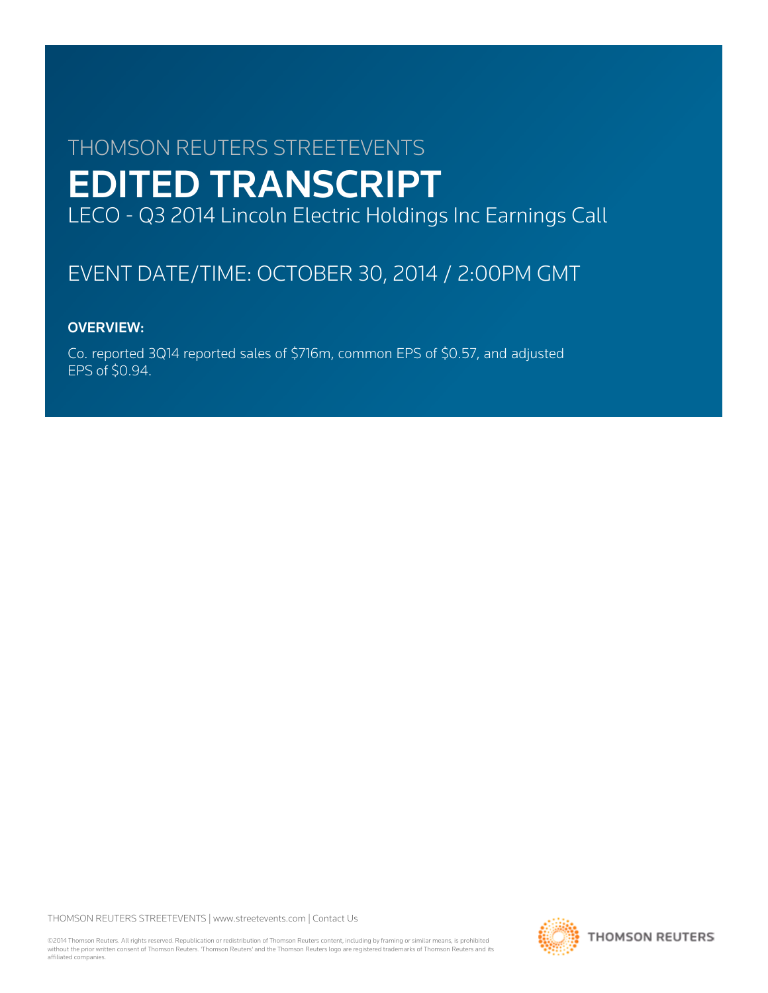# THOMSON REUTERS STREETEVENTS EDITED TRANSCRIPT LECO - Q3 2014 Lincoln Electric Holdings Inc Earnings Call

# EVENT DATE/TIME: OCTOBER 30, 2014 / 2:00PM GMT

# OVERVIEW:

Co. reported 3Q14 reported sales of \$716m, common EPS of \$0.57, and adjusted EPS of \$0.94.

THOMSON REUTERS STREETEVENTS | [www.streetevents.com](http://www.streetevents.com) | [Contact Us](http://www010.streetevents.com/contact.asp)

©2014 Thomson Reuters. All rights reserved. Republication or redistribution of Thomson Reuters content, including by framing or similar means, is prohibited without the prior written consent of Thomson Reuters. 'Thomson Reuters' and the Thomson Reuters logo are registered trademarks of Thomson Reuters and its affiliated companies.

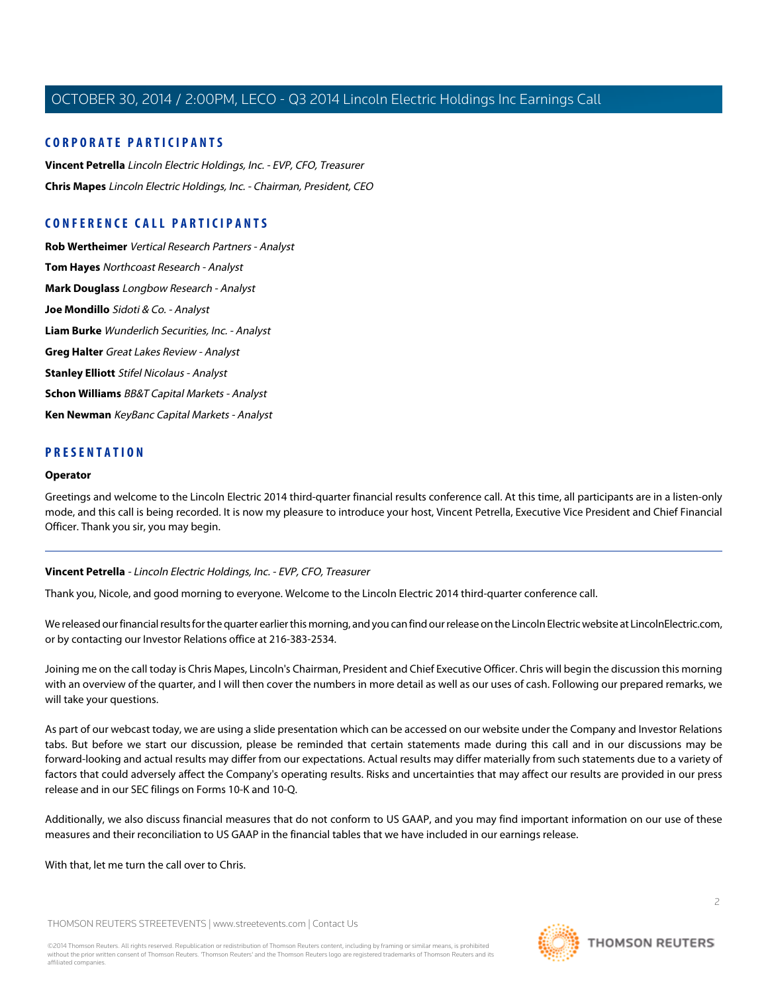## **CORPORATE PARTICIPANTS**

**[Vincent Petrella](#page-1-0)** Lincoln Electric Holdings, Inc. - EVP, CFO, Treasurer **[Chris Mapes](#page-2-0)** Lincoln Electric Holdings, Inc. - Chairman, President, CEO

## **CONFERENCE CALL PARTICIPANTS**

**[Rob Wertheimer](#page-5-0)** Vertical Research Partners - Analyst **[Tom Hayes](#page-6-0)** Northcoast Research - Analyst **[Mark Douglass](#page-7-0)** Longbow Research - Analyst **[Joe Mondillo](#page-8-0)** Sidoti & Co. - Analyst **[Liam Burke](#page-10-0)** Wunderlich Securities, Inc. - Analyst **[Greg Halter](#page-10-1)** Great Lakes Review - Analyst **[Stanley Elliott](#page-11-0)** Stifel Nicolaus - Analyst **[Schon Williams](#page-12-0)** BB&T Capital Markets - Analyst **[Ken Newman](#page-14-0)** KeyBanc Capital Markets - Analyst

## **PRESENTATION**

#### **Operator**

<span id="page-1-0"></span>Greetings and welcome to the Lincoln Electric 2014 third-quarter financial results conference call. At this time, all participants are in a listen-only mode, and this call is being recorded. It is now my pleasure to introduce your host, Vincent Petrella, Executive Vice President and Chief Financial Officer. Thank you sir, you may begin.

## **Vincent Petrella** - Lincoln Electric Holdings, Inc. - EVP, CFO, Treasurer

Thank you, Nicole, and good morning to everyone. Welcome to the Lincoln Electric 2014 third-quarter conference call.

We released our financial results for the quarter earlier this morning, and you can find our release on the Lincoln Electric website at LincolnElectric.com, or by contacting our Investor Relations office at 216-383-2534.

Joining me on the call today is Chris Mapes, Lincoln's Chairman, President and Chief Executive Officer. Chris will begin the discussion this morning with an overview of the quarter, and I will then cover the numbers in more detail as well as our uses of cash. Following our prepared remarks, we will take your questions.

As part of our webcast today, we are using a slide presentation which can be accessed on our website under the Company and Investor Relations tabs. But before we start our discussion, please be reminded that certain statements made during this call and in our discussions may be forward-looking and actual results may differ from our expectations. Actual results may differ materially from such statements due to a variety of factors that could adversely affect the Company's operating results. Risks and uncertainties that may affect our results are provided in our press release and in our SEC filings on Forms 10-K and 10-Q.

Additionally, we also discuss financial measures that do not conform to US GAAP, and you may find important information on our use of these measures and their reconciliation to US GAAP in the financial tables that we have included in our earnings release.

With that, let me turn the call over to Chris.

THOMSON REUTERS STREETEVENTS | [www.streetevents.com](http://www.streetevents.com) | [Contact Us](http://www010.streetevents.com/contact.asp)

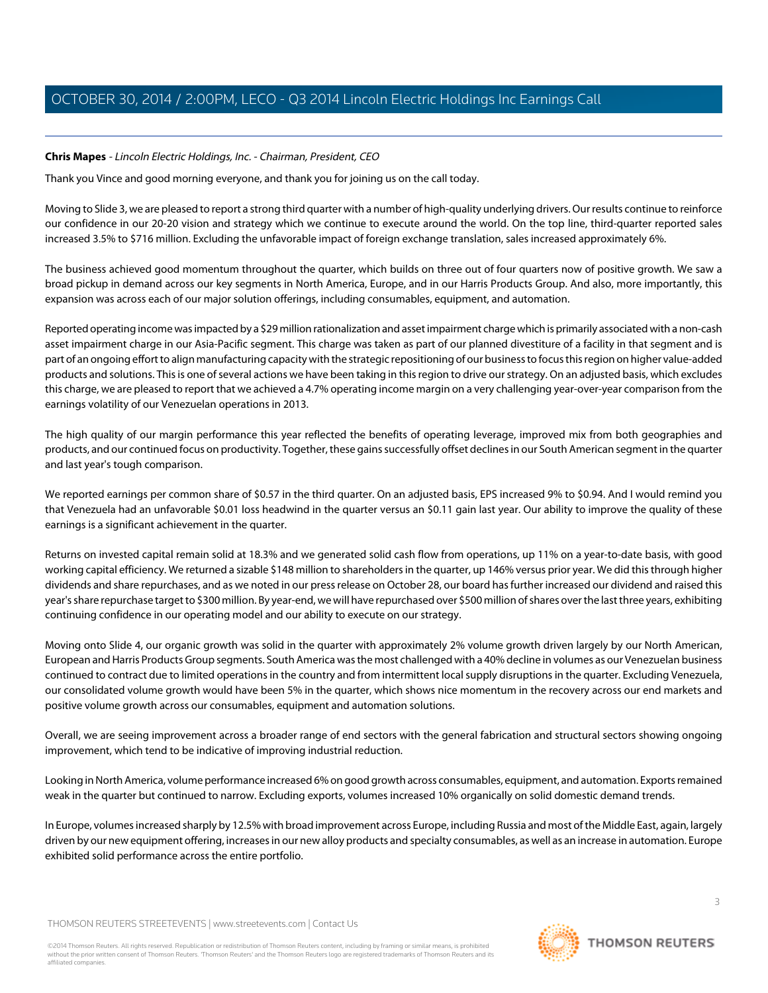## <span id="page-2-0"></span>**Chris Mapes** - Lincoln Electric Holdings, Inc. - Chairman, President, CEO

Thank you Vince and good morning everyone, and thank you for joining us on the call today.

Moving to Slide 3, we are pleased to report a strong third quarter with a number of high-quality underlying drivers. Our results continue to reinforce our confidence in our 20-20 vision and strategy which we continue to execute around the world. On the top line, third-quarter reported sales increased 3.5% to \$716 million. Excluding the unfavorable impact of foreign exchange translation, sales increased approximately 6%.

The business achieved good momentum throughout the quarter, which builds on three out of four quarters now of positive growth. We saw a broad pickup in demand across our key segments in North America, Europe, and in our Harris Products Group. And also, more importantly, this expansion was across each of our major solution offerings, including consumables, equipment, and automation.

Reported operating income was impacted by a \$29 million rationalization and asset impairment charge which is primarily associated with a non-cash asset impairment charge in our Asia-Pacific segment. This charge was taken as part of our planned divestiture of a facility in that segment and is part of an ongoing effort to align manufacturing capacity with the strategic repositioning of our business to focus this region on higher value-added products and solutions. This is one of several actions we have been taking in this region to drive our strategy. On an adjusted basis, which excludes this charge, we are pleased to report that we achieved a 4.7% operating income margin on a very challenging year-over-year comparison from the earnings volatility of our Venezuelan operations in 2013.

The high quality of our margin performance this year reflected the benefits of operating leverage, improved mix from both geographies and products, and our continued focus on productivity. Together, these gains successfully offset declines in our South American segment in the quarter and last year's tough comparison.

We reported earnings per common share of \$0.57 in the third quarter. On an adjusted basis, EPS increased 9% to \$0.94. And I would remind you that Venezuela had an unfavorable \$0.01 loss headwind in the quarter versus an \$0.11 gain last year. Our ability to improve the quality of these earnings is a significant achievement in the quarter.

Returns on invested capital remain solid at 18.3% and we generated solid cash flow from operations, up 11% on a year-to-date basis, with good working capital efficiency. We returned a sizable \$148 million to shareholders in the quarter, up 146% versus prior year. We did this through higher dividends and share repurchases, and as we noted in our press release on October 28, our board has further increased our dividend and raised this year's share repurchase target to \$300 million. By year-end, we will have repurchased over \$500 million of shares over the last three years, exhibiting continuing confidence in our operating model and our ability to execute on our strategy.

Moving onto Slide 4, our organic growth was solid in the quarter with approximately 2% volume growth driven largely by our North American, European and Harris Products Group segments. South America was the most challenged with a 40% decline in volumes as our Venezuelan business continued to contract due to limited operations in the country and from intermittent local supply disruptions in the quarter. Excluding Venezuela, our consolidated volume growth would have been 5% in the quarter, which shows nice momentum in the recovery across our end markets and positive volume growth across our consumables, equipment and automation solutions.

Overall, we are seeing improvement across a broader range of end sectors with the general fabrication and structural sectors showing ongoing improvement, which tend to be indicative of improving industrial reduction.

Looking in North America, volume performance increased 6% on good growth across consumables, equipment, and automation. Exports remained weak in the quarter but continued to narrow. Excluding exports, volumes increased 10% organically on solid domestic demand trends.

In Europe, volumes increased sharply by 12.5% with broad improvement across Europe, including Russia and most of the Middle East, again, largely driven by our new equipment offering, increases in our new alloy products and specialty consumables, as well as an increase in automation. Europe exhibited solid performance across the entire portfolio.

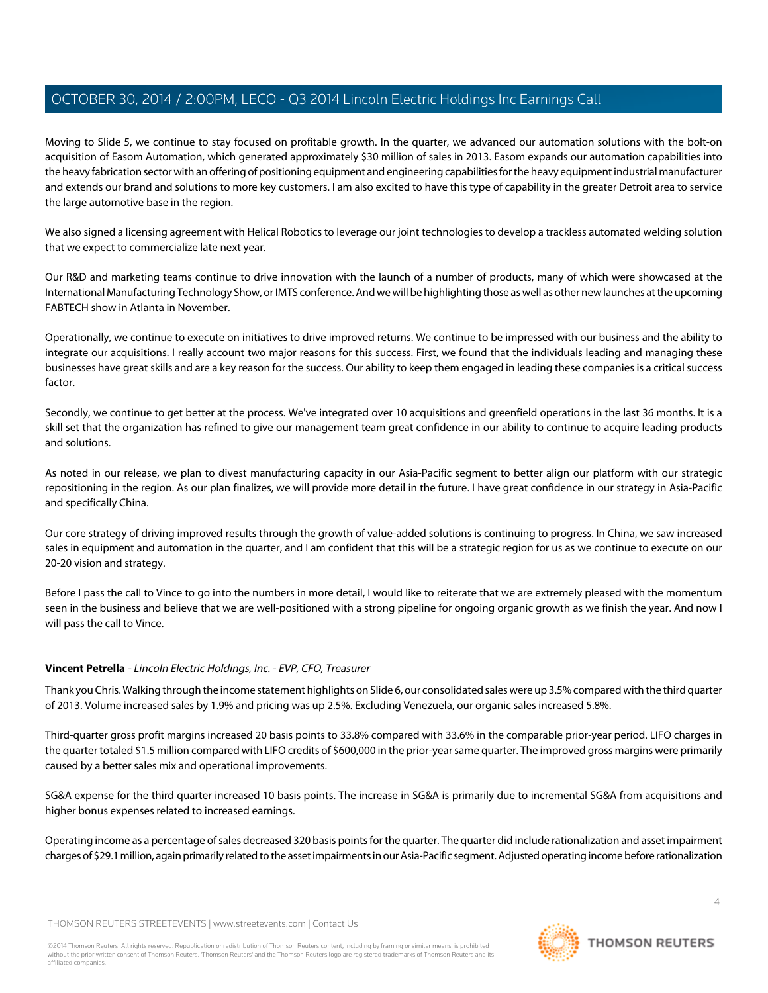Moving to Slide 5, we continue to stay focused on profitable growth. In the quarter, we advanced our automation solutions with the bolt-on acquisition of Easom Automation, which generated approximately \$30 million of sales in 2013. Easom expands our automation capabilities into the heavy fabrication sector with an offering of positioning equipment and engineering capabilities for the heavy equipment industrial manufacturer and extends our brand and solutions to more key customers. I am also excited to have this type of capability in the greater Detroit area to service the large automotive base in the region.

We also signed a licensing agreement with Helical Robotics to leverage our joint technologies to develop a trackless automated welding solution that we expect to commercialize late next year.

Our R&D and marketing teams continue to drive innovation with the launch of a number of products, many of which were showcased at the International Manufacturing Technology Show, or IMTS conference. And we will be highlighting those as well as other new launches at the upcoming FABTECH show in Atlanta in November.

Operationally, we continue to execute on initiatives to drive improved returns. We continue to be impressed with our business and the ability to integrate our acquisitions. I really account two major reasons for this success. First, we found that the individuals leading and managing these businesses have great skills and are a key reason for the success. Our ability to keep them engaged in leading these companies is a critical success factor.

Secondly, we continue to get better at the process. We've integrated over 10 acquisitions and greenfield operations in the last 36 months. It is a skill set that the organization has refined to give our management team great confidence in our ability to continue to acquire leading products and solutions.

As noted in our release, we plan to divest manufacturing capacity in our Asia-Pacific segment to better align our platform with our strategic repositioning in the region. As our plan finalizes, we will provide more detail in the future. I have great confidence in our strategy in Asia-Pacific and specifically China.

Our core strategy of driving improved results through the growth of value-added solutions is continuing to progress. In China, we saw increased sales in equipment and automation in the quarter, and I am confident that this will be a strategic region for us as we continue to execute on our 20-20 vision and strategy.

Before I pass the call to Vince to go into the numbers in more detail, I would like to reiterate that we are extremely pleased with the momentum seen in the business and believe that we are well-positioned with a strong pipeline for ongoing organic growth as we finish the year. And now I will pass the call to Vince.

## **Vincent Petrella** - Lincoln Electric Holdings, Inc. - EVP, CFO, Treasurer

Thank you Chris. Walking through the income statement highlights on Slide 6, our consolidated sales were up 3.5% compared with the third quarter of 2013. Volume increased sales by 1.9% and pricing was up 2.5%. Excluding Venezuela, our organic sales increased 5.8%.

Third-quarter gross profit margins increased 20 basis points to 33.8% compared with 33.6% in the comparable prior-year period. LIFO charges in the quarter totaled \$1.5 million compared with LIFO credits of \$600,000 in the prior-year same quarter. The improved gross margins were primarily caused by a better sales mix and operational improvements.

SG&A expense for the third quarter increased 10 basis points. The increase in SG&A is primarily due to incremental SG&A from acquisitions and higher bonus expenses related to increased earnings.

Operating income as a percentage of sales decreased 320 basis points for the quarter. The quarter did include rationalization and asset impairment charges of \$29.1 million, again primarily related to the asset impairments in our Asia-Pacific segment. Adjusted operating income before rationalization

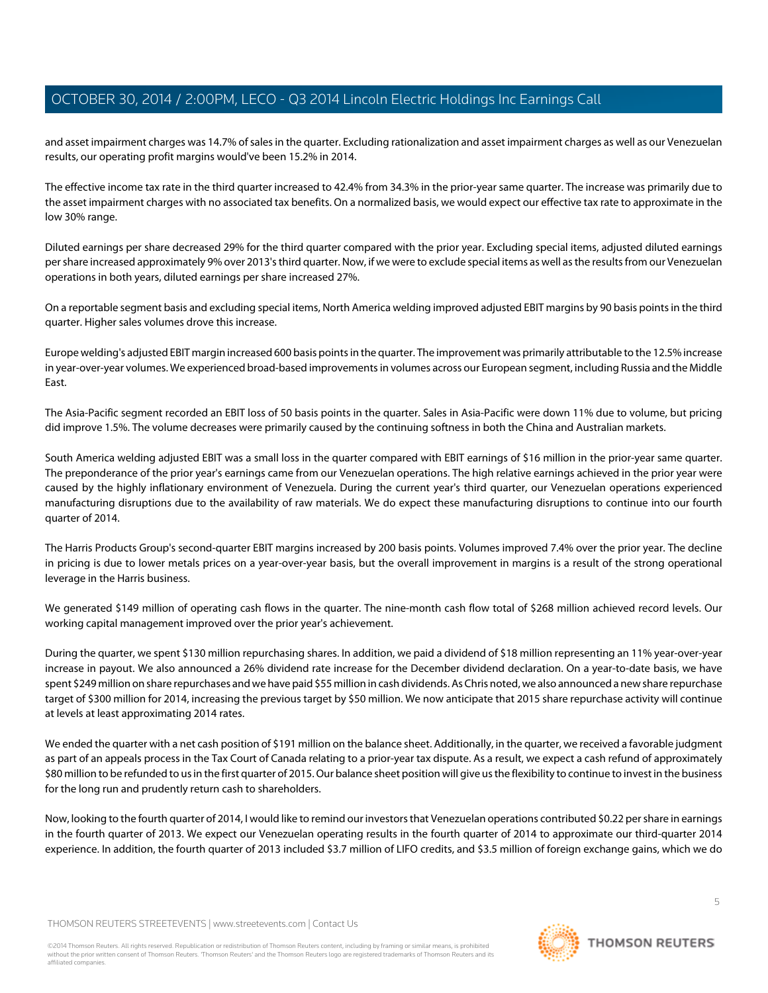and asset impairment charges was 14.7% of sales in the quarter. Excluding rationalization and asset impairment charges as well as our Venezuelan results, our operating profit margins would've been 15.2% in 2014.

The effective income tax rate in the third quarter increased to 42.4% from 34.3% in the prior-year same quarter. The increase was primarily due to the asset impairment charges with no associated tax benefits. On a normalized basis, we would expect our effective tax rate to approximate in the low 30% range.

Diluted earnings per share decreased 29% for the third quarter compared with the prior year. Excluding special items, adjusted diluted earnings per share increased approximately 9% over 2013's third quarter. Now, if we were to exclude special items as well as the results from our Venezuelan operations in both years, diluted earnings per share increased 27%.

On a reportable segment basis and excluding special items, North America welding improved adjusted EBIT margins by 90 basis points in the third quarter. Higher sales volumes drove this increase.

Europe welding's adjusted EBIT margin increased 600 basis points in the quarter. The improvement was primarily attributable to the 12.5% increase in year-over-year volumes. We experienced broad-based improvements in volumes across our European segment, including Russia and the Middle East.

The Asia-Pacific segment recorded an EBIT loss of 50 basis points in the quarter. Sales in Asia-Pacific were down 11% due to volume, but pricing did improve 1.5%. The volume decreases were primarily caused by the continuing softness in both the China and Australian markets.

South America welding adjusted EBIT was a small loss in the quarter compared with EBIT earnings of \$16 million in the prior-year same quarter. The preponderance of the prior year's earnings came from our Venezuelan operations. The high relative earnings achieved in the prior year were caused by the highly inflationary environment of Venezuela. During the current year's third quarter, our Venezuelan operations experienced manufacturing disruptions due to the availability of raw materials. We do expect these manufacturing disruptions to continue into our fourth quarter of 2014.

The Harris Products Group's second-quarter EBIT margins increased by 200 basis points. Volumes improved 7.4% over the prior year. The decline in pricing is due to lower metals prices on a year-over-year basis, but the overall improvement in margins is a result of the strong operational leverage in the Harris business.

We generated \$149 million of operating cash flows in the quarter. The nine-month cash flow total of \$268 million achieved record levels. Our working capital management improved over the prior year's achievement.

During the quarter, we spent \$130 million repurchasing shares. In addition, we paid a dividend of \$18 million representing an 11% year-over-year increase in payout. We also announced a 26% dividend rate increase for the December dividend declaration. On a year-to-date basis, we have spent \$249 million on share repurchases and we have paid \$55 million in cash dividends. As Chris noted, we also announced a new share repurchase target of \$300 million for 2014, increasing the previous target by \$50 million. We now anticipate that 2015 share repurchase activity will continue at levels at least approximating 2014 rates.

We ended the quarter with a net cash position of \$191 million on the balance sheet. Additionally, in the quarter, we received a favorable judgment as part of an appeals process in the Tax Court of Canada relating to a prior-year tax dispute. As a result, we expect a cash refund of approximately \$80 million to be refunded to us in the first quarter of 2015. Our balance sheet position will give us the flexibility to continue to invest in the business for the long run and prudently return cash to shareholders.

Now, looking to the fourth quarter of 2014, I would like to remind our investors that Venezuelan operations contributed \$0.22 per share in earnings in the fourth quarter of 2013. We expect our Venezuelan operating results in the fourth quarter of 2014 to approximate our third-quarter 2014 experience. In addition, the fourth quarter of 2013 included \$3.7 million of LIFO credits, and \$3.5 million of foreign exchange gains, which we do

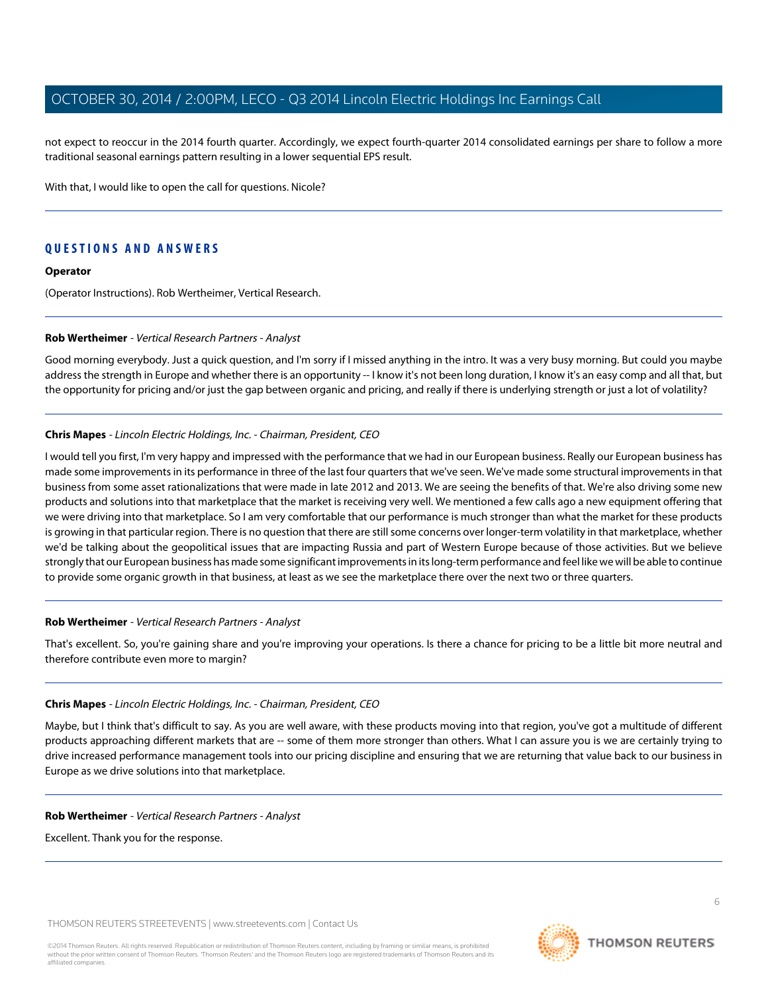not expect to reoccur in the 2014 fourth quarter. Accordingly, we expect fourth-quarter 2014 consolidated earnings per share to follow a more traditional seasonal earnings pattern resulting in a lower sequential EPS result.

With that, I would like to open the call for questions. Nicole?

## **QUESTIONS AND ANSWERS**

#### **Operator**

<span id="page-5-0"></span>(Operator Instructions). Rob Wertheimer, Vertical Research.

#### **Rob Wertheimer** - Vertical Research Partners - Analyst

Good morning everybody. Just a quick question, and I'm sorry if I missed anything in the intro. It was a very busy morning. But could you maybe address the strength in Europe and whether there is an opportunity -- I know it's not been long duration, I know it's an easy comp and all that, but the opportunity for pricing and/or just the gap between organic and pricing, and really if there is underlying strength or just a lot of volatility?

#### **Chris Mapes** - Lincoln Electric Holdings, Inc. - Chairman, President, CEO

I would tell you first, I'm very happy and impressed with the performance that we had in our European business. Really our European business has made some improvements in its performance in three of the last four quarters that we've seen. We've made some structural improvements in that business from some asset rationalizations that were made in late 2012 and 2013. We are seeing the benefits of that. We're also driving some new products and solutions into that marketplace that the market is receiving very well. We mentioned a few calls ago a new equipment offering that we were driving into that marketplace. So I am very comfortable that our performance is much stronger than what the market for these products is growing in that particular region. There is no question that there are still some concerns over longer-term volatility in that marketplace, whether we'd be talking about the geopolitical issues that are impacting Russia and part of Western Europe because of those activities. But we believe strongly that our European business has made some significant improvements in its long-term performance and feel like we will be able to continue to provide some organic growth in that business, at least as we see the marketplace there over the next two or three quarters.

#### **Rob Wertheimer** - Vertical Research Partners - Analyst

That's excellent. So, you're gaining share and you're improving your operations. Is there a chance for pricing to be a little bit more neutral and therefore contribute even more to margin?

#### **Chris Mapes** - Lincoln Electric Holdings, Inc. - Chairman, President, CEO

Maybe, but I think that's difficult to say. As you are well aware, with these products moving into that region, you've got a multitude of different products approaching different markets that are -- some of them more stronger than others. What I can assure you is we are certainly trying to drive increased performance management tools into our pricing discipline and ensuring that we are returning that value back to our business in Europe as we drive solutions into that marketplace.

#### **Rob Wertheimer** - Vertical Research Partners - Analyst

Excellent. Thank you for the response.

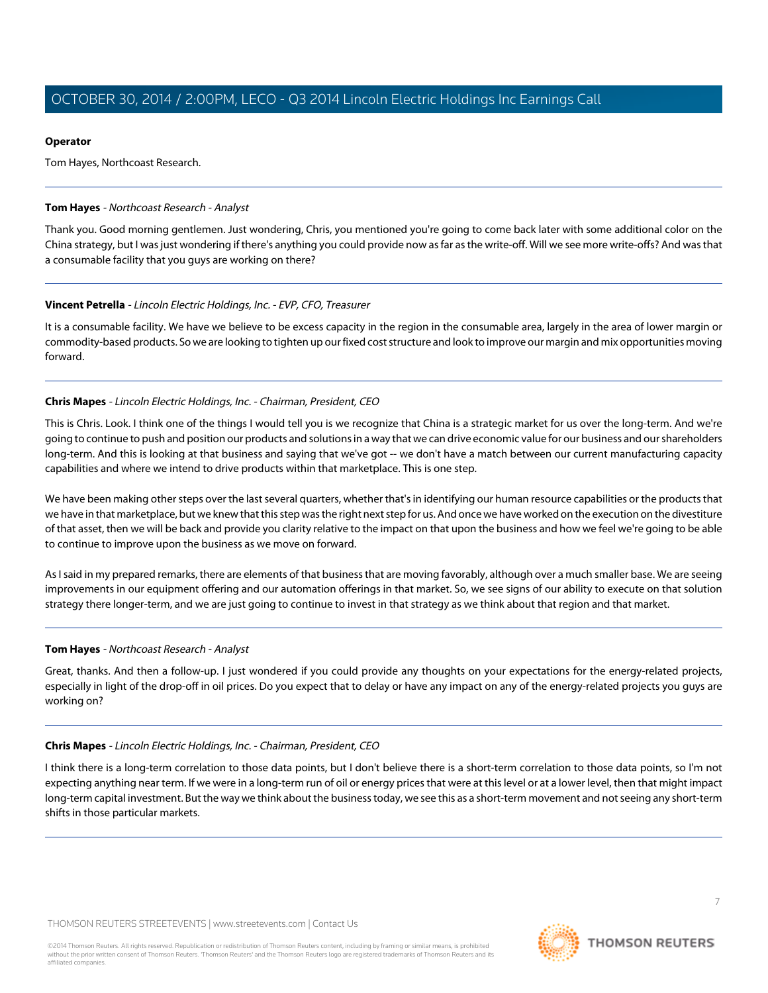#### **Operator**

Tom Hayes, Northcoast Research.

#### <span id="page-6-0"></span>**Tom Hayes** - Northcoast Research - Analyst

Thank you. Good morning gentlemen. Just wondering, Chris, you mentioned you're going to come back later with some additional color on the China strategy, but I was just wondering if there's anything you could provide now as far as the write-off. Will we see more write-offs? And was that a consumable facility that you guys are working on there?

## **Vincent Petrella** - Lincoln Electric Holdings, Inc. - EVP, CFO, Treasurer

It is a consumable facility. We have we believe to be excess capacity in the region in the consumable area, largely in the area of lower margin or commodity-based products. So we are looking to tighten up our fixed cost structure and look to improve our margin and mix opportunities moving forward.

#### **Chris Mapes** - Lincoln Electric Holdings, Inc. - Chairman, President, CEO

This is Chris. Look. I think one of the things I would tell you is we recognize that China is a strategic market for us over the long-term. And we're going to continue to push and position our products and solutions in a way that we can drive economic value for our business and our shareholders long-term. And this is looking at that business and saying that we've got -- we don't have a match between our current manufacturing capacity capabilities and where we intend to drive products within that marketplace. This is one step.

We have been making other steps over the last several quarters, whether that's in identifying our human resource capabilities or the products that we have in that marketplace, but we knew that this step was the right next step for us. And once we have worked on the execution on the divestiture of that asset, then we will be back and provide you clarity relative to the impact on that upon the business and how we feel we're going to be able to continue to improve upon the business as we move on forward.

As I said in my prepared remarks, there are elements of that business that are moving favorably, although over a much smaller base. We are seeing improvements in our equipment offering and our automation offerings in that market. So, we see signs of our ability to execute on that solution strategy there longer-term, and we are just going to continue to invest in that strategy as we think about that region and that market.

## **Tom Hayes** - Northcoast Research - Analyst

Great, thanks. And then a follow-up. I just wondered if you could provide any thoughts on your expectations for the energy-related projects, especially in light of the drop-off in oil prices. Do you expect that to delay or have any impact on any of the energy-related projects you guys are working on?

#### **Chris Mapes** - Lincoln Electric Holdings, Inc. - Chairman, President, CEO

I think there is a long-term correlation to those data points, but I don't believe there is a short-term correlation to those data points, so I'm not expecting anything near term. If we were in a long-term run of oil or energy prices that were at this level or at a lower level, then that might impact long-term capital investment. But the way we think about the business today, we see this as a short-term movement and not seeing any short-term shifts in those particular markets.

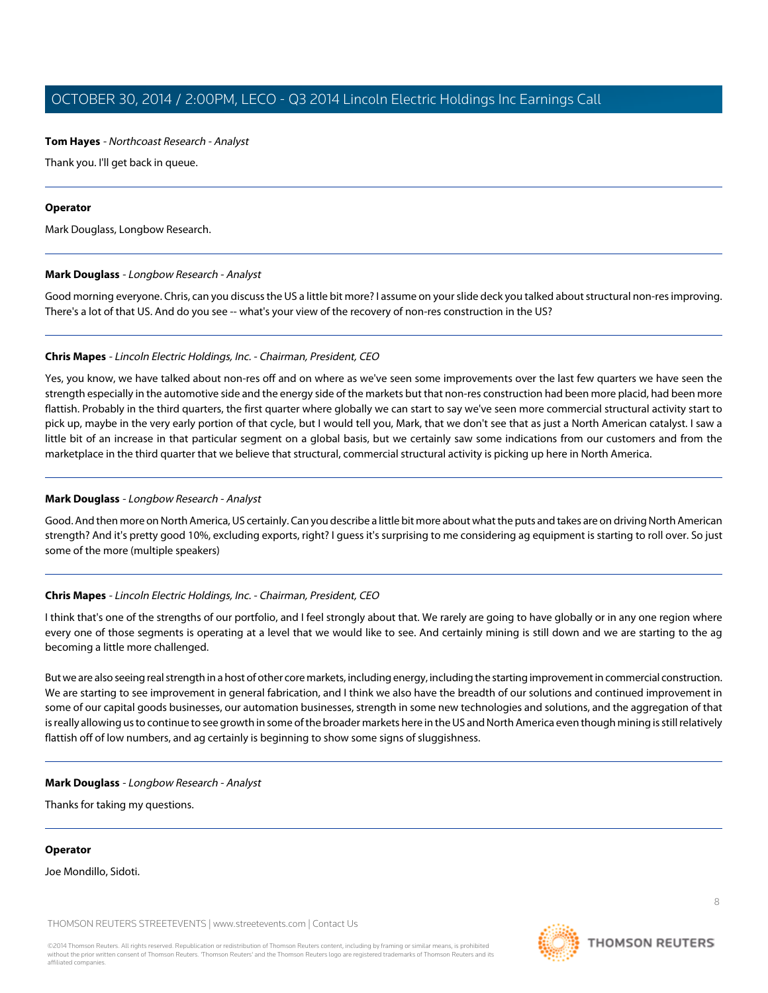#### **Tom Hayes** - Northcoast Research - Analyst

Thank you. I'll get back in queue.

#### **Operator**

<span id="page-7-0"></span>Mark Douglass, Longbow Research.

#### **Mark Douglass** - Longbow Research - Analyst

Good morning everyone. Chris, can you discuss the US a little bit more? I assume on your slide deck you talked about structural non-res improving. There's a lot of that US. And do you see -- what's your view of the recovery of non-res construction in the US?

#### **Chris Mapes** - Lincoln Electric Holdings, Inc. - Chairman, President, CEO

Yes, you know, we have talked about non-res off and on where as we've seen some improvements over the last few quarters we have seen the strength especially in the automotive side and the energy side of the markets but that non-res construction had been more placid, had been more flattish. Probably in the third quarters, the first quarter where globally we can start to say we've seen more commercial structural activity start to pick up, maybe in the very early portion of that cycle, but I would tell you, Mark, that we don't see that as just a North American catalyst. I saw a little bit of an increase in that particular segment on a global basis, but we certainly saw some indications from our customers and from the marketplace in the third quarter that we believe that structural, commercial structural activity is picking up here in North America.

#### **Mark Douglass** - Longbow Research - Analyst

Good. And then more on North America, US certainly. Can you describe a little bit more about what the puts and takes are on driving North American strength? And it's pretty good 10%, excluding exports, right? I guess it's surprising to me considering ag equipment is starting to roll over. So just some of the more (multiple speakers)

## **Chris Mapes** - Lincoln Electric Holdings, Inc. - Chairman, President, CEO

I think that's one of the strengths of our portfolio, and I feel strongly about that. We rarely are going to have globally or in any one region where every one of those segments is operating at a level that we would like to see. And certainly mining is still down and we are starting to the ag becoming a little more challenged.

But we are also seeing real strength in a host of other core markets, including energy, including the starting improvement in commercial construction. We are starting to see improvement in general fabrication, and I think we also have the breadth of our solutions and continued improvement in some of our capital goods businesses, our automation businesses, strength in some new technologies and solutions, and the aggregation of that is really allowing us to continue to see growth in some of the broader markets here in the US and North America even though mining is still relatively flattish off of low numbers, and ag certainly is beginning to show some signs of sluggishness.

#### **Mark Douglass** - Longbow Research - Analyst

Thanks for taking my questions.

#### **Operator**

Joe Mondillo, Sidoti.

THOMSON REUTERS STREETEVENTS | [www.streetevents.com](http://www.streetevents.com) | [Contact Us](http://www010.streetevents.com/contact.asp)

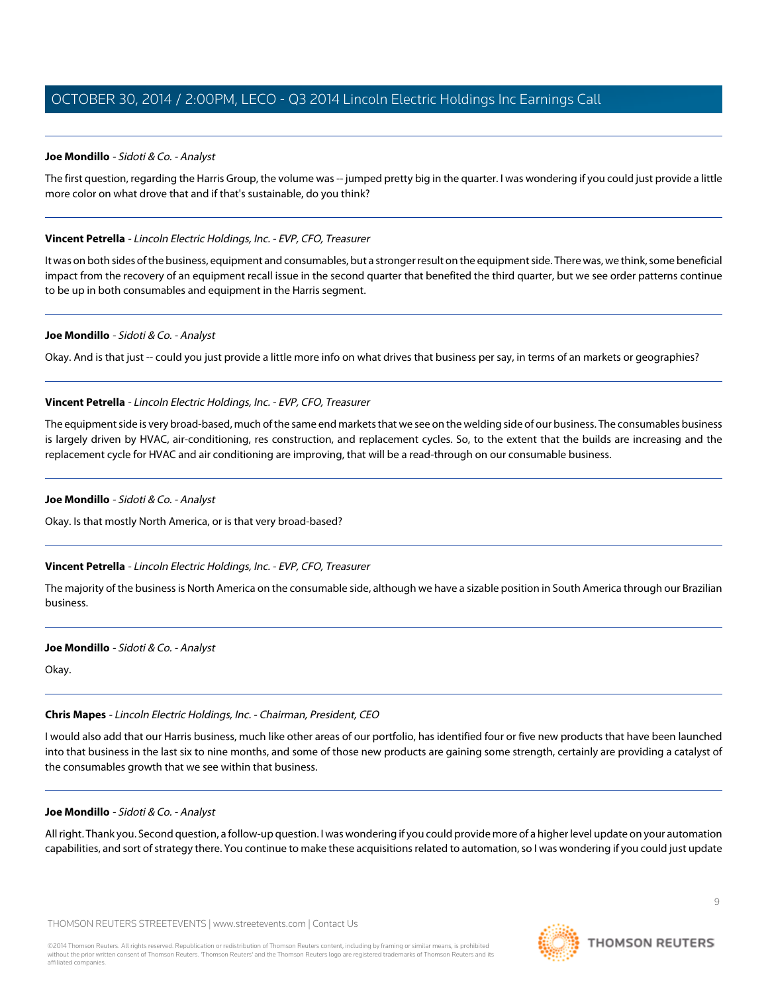## <span id="page-8-0"></span>**Joe Mondillo** - Sidoti & Co. - Analyst

The first question, regarding the Harris Group, the volume was -- jumped pretty big in the quarter. I was wondering if you could just provide a little more color on what drove that and if that's sustainable, do you think?

#### **Vincent Petrella** - Lincoln Electric Holdings, Inc. - EVP, CFO, Treasurer

It was on both sides of the business, equipment and consumables, but a stronger result on the equipment side. There was, we think, some beneficial impact from the recovery of an equipment recall issue in the second quarter that benefited the third quarter, but we see order patterns continue to be up in both consumables and equipment in the Harris segment.

#### **Joe Mondillo** - Sidoti & Co. - Analyst

Okay. And is that just -- could you just provide a little more info on what drives that business per say, in terms of an markets or geographies?

#### **Vincent Petrella** - Lincoln Electric Holdings, Inc. - EVP, CFO, Treasurer

The equipment side is very broad-based, much of the same end markets that we see on the welding side of our business. The consumables business is largely driven by HVAC, air-conditioning, res construction, and replacement cycles. So, to the extent that the builds are increasing and the replacement cycle for HVAC and air conditioning are improving, that will be a read-through on our consumable business.

#### **Joe Mondillo** - Sidoti & Co. - Analyst

Okay. Is that mostly North America, or is that very broad-based?

## **Vincent Petrella** - Lincoln Electric Holdings, Inc. - EVP, CFO, Treasurer

The majority of the business is North America on the consumable side, although we have a sizable position in South America through our Brazilian business.

#### **Joe Mondillo** - Sidoti & Co. - Analyst

Okay.

## **Chris Mapes** - Lincoln Electric Holdings, Inc. - Chairman, President, CEO

I would also add that our Harris business, much like other areas of our portfolio, has identified four or five new products that have been launched into that business in the last six to nine months, and some of those new products are gaining some strength, certainly are providing a catalyst of the consumables growth that we see within that business.

#### **Joe Mondillo** - Sidoti & Co. - Analyst

All right. Thank you. Second question, a follow-up question. I was wondering if you could provide more of a higher level update on your automation capabilities, and sort of strategy there. You continue to make these acquisitions related to automation, so I was wondering if you could just update

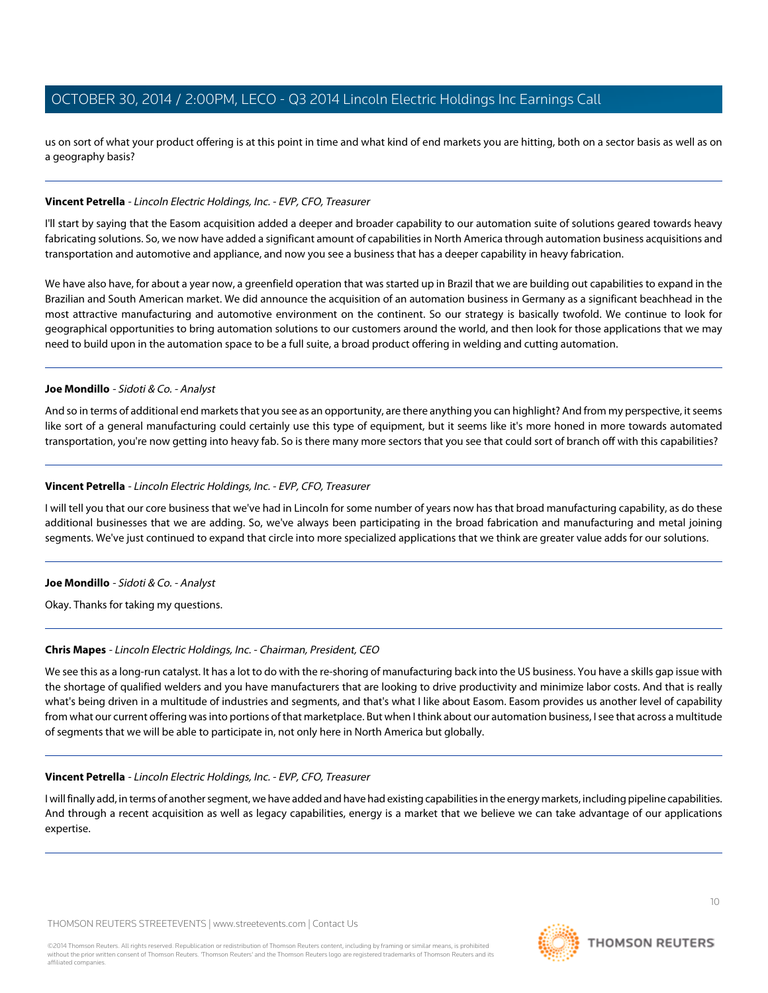us on sort of what your product offering is at this point in time and what kind of end markets you are hitting, both on a sector basis as well as on a geography basis?

#### **Vincent Petrella** - Lincoln Electric Holdings, Inc. - EVP, CFO, Treasurer

I'll start by saying that the Easom acquisition added a deeper and broader capability to our automation suite of solutions geared towards heavy fabricating solutions. So, we now have added a significant amount of capabilities in North America through automation business acquisitions and transportation and automotive and appliance, and now you see a business that has a deeper capability in heavy fabrication.

We have also have, for about a year now, a greenfield operation that was started up in Brazil that we are building out capabilities to expand in the Brazilian and South American market. We did announce the acquisition of an automation business in Germany as a significant beachhead in the most attractive manufacturing and automotive environment on the continent. So our strategy is basically twofold. We continue to look for geographical opportunities to bring automation solutions to our customers around the world, and then look for those applications that we may need to build upon in the automation space to be a full suite, a broad product offering in welding and cutting automation.

#### **Joe Mondillo** - Sidoti & Co. - Analyst

And so in terms of additional end markets that you see as an opportunity, are there anything you can highlight? And from my perspective, it seems like sort of a general manufacturing could certainly use this type of equipment, but it seems like it's more honed in more towards automated transportation, you're now getting into heavy fab. So is there many more sectors that you see that could sort of branch off with this capabilities?

#### **Vincent Petrella** - Lincoln Electric Holdings, Inc. - EVP, CFO, Treasurer

I will tell you that our core business that we've had in Lincoln for some number of years now has that broad manufacturing capability, as do these additional businesses that we are adding. So, we've always been participating in the broad fabrication and manufacturing and metal joining segments. We've just continued to expand that circle into more specialized applications that we think are greater value adds for our solutions.

#### **Joe Mondillo** - Sidoti & Co. - Analyst

Okay. Thanks for taking my questions.

## **Chris Mapes** - Lincoln Electric Holdings, Inc. - Chairman, President, CEO

We see this as a long-run catalyst. It has a lot to do with the re-shoring of manufacturing back into the US business. You have a skills gap issue with the shortage of qualified welders and you have manufacturers that are looking to drive productivity and minimize labor costs. And that is really what's being driven in a multitude of industries and segments, and that's what I like about Easom. Easom provides us another level of capability from what our current offering was into portions of that marketplace. But when I think about our automation business, I see that across a multitude of segments that we will be able to participate in, not only here in North America but globally.

#### **Vincent Petrella** - Lincoln Electric Holdings, Inc. - EVP, CFO, Treasurer

I will finally add, in terms of another segment, we have added and have had existing capabilities in the energy markets, including pipeline capabilities. And through a recent acquisition as well as legacy capabilities, energy is a market that we believe we can take advantage of our applications expertise.

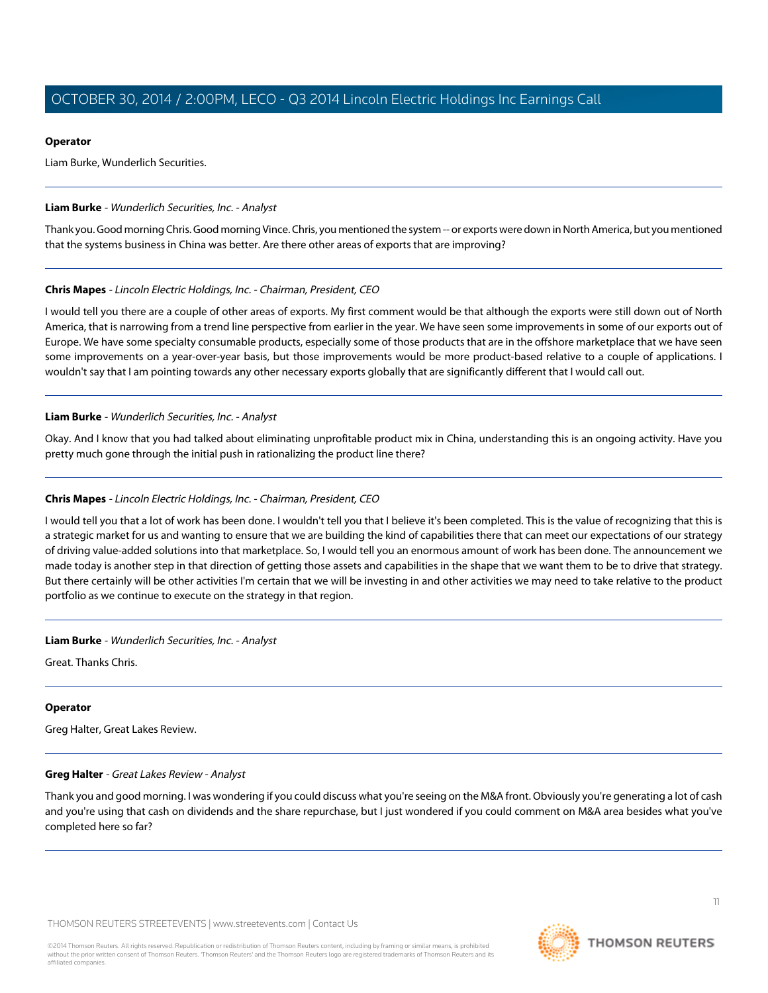#### **Operator**

Liam Burke, Wunderlich Securities.

#### <span id="page-10-0"></span>**Liam Burke** - Wunderlich Securities, Inc. - Analyst

Thank you. Good morning Chris. Good morning Vince. Chris, you mentioned the system -- or exports were down in North America, but you mentioned that the systems business in China was better. Are there other areas of exports that are improving?

#### **Chris Mapes** - Lincoln Electric Holdings, Inc. - Chairman, President, CEO

I would tell you there are a couple of other areas of exports. My first comment would be that although the exports were still down out of North America, that is narrowing from a trend line perspective from earlier in the year. We have seen some improvements in some of our exports out of Europe. We have some specialty consumable products, especially some of those products that are in the offshore marketplace that we have seen some improvements on a year-over-year basis, but those improvements would be more product-based relative to a couple of applications. I wouldn't say that I am pointing towards any other necessary exports globally that are significantly different that I would call out.

#### **Liam Burke** - Wunderlich Securities, Inc. - Analyst

Okay. And I know that you had talked about eliminating unprofitable product mix in China, understanding this is an ongoing activity. Have you pretty much gone through the initial push in rationalizing the product line there?

#### **Chris Mapes** - Lincoln Electric Holdings, Inc. - Chairman, President, CEO

I would tell you that a lot of work has been done. I wouldn't tell you that I believe it's been completed. This is the value of recognizing that this is a strategic market for us and wanting to ensure that we are building the kind of capabilities there that can meet our expectations of our strategy of driving value-added solutions into that marketplace. So, I would tell you an enormous amount of work has been done. The announcement we made today is another step in that direction of getting those assets and capabilities in the shape that we want them to be to drive that strategy. But there certainly will be other activities I'm certain that we will be investing in and other activities we may need to take relative to the product portfolio as we continue to execute on the strategy in that region.

#### **Liam Burke** - Wunderlich Securities, Inc. - Analyst

Great. Thanks Chris.

## <span id="page-10-1"></span>**Operator**

Greg Halter, Great Lakes Review.

#### **Greg Halter** - Great Lakes Review - Analyst

Thank you and good morning. I was wondering if you could discuss what you're seeing on the M&A front. Obviously you're generating a lot of cash and you're using that cash on dividends and the share repurchase, but I just wondered if you could comment on M&A area besides what you've completed here so far?

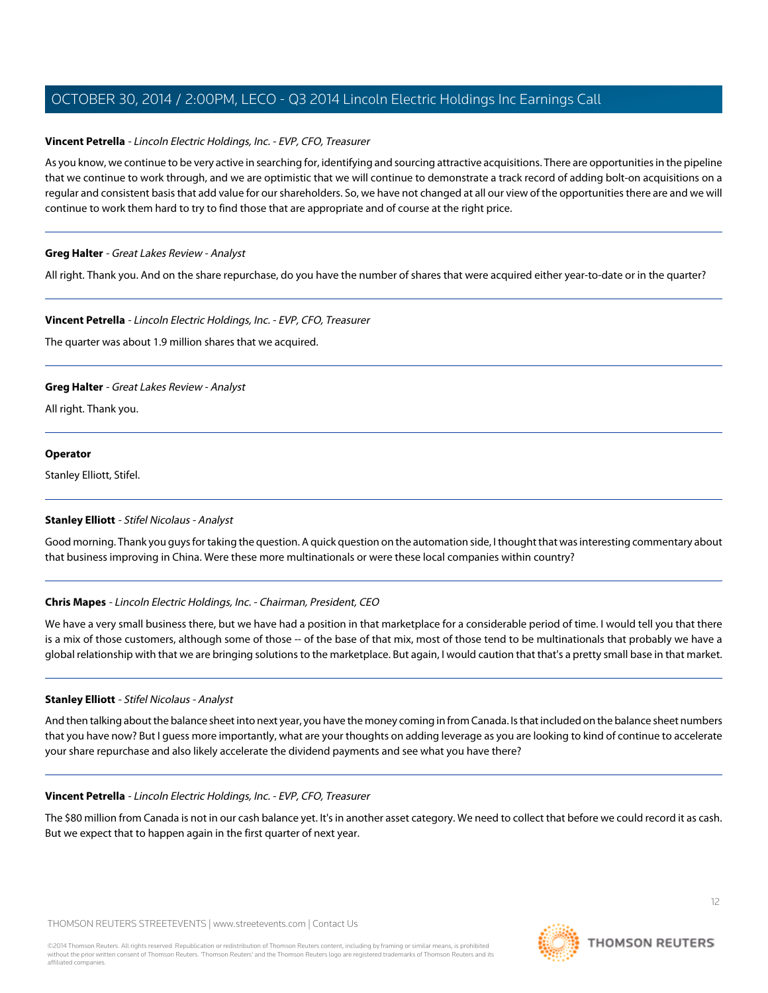## **Vincent Petrella** - Lincoln Electric Holdings, Inc. - EVP, CFO, Treasurer

As you know, we continue to be very active in searching for, identifying and sourcing attractive acquisitions. There are opportunities in the pipeline that we continue to work through, and we are optimistic that we will continue to demonstrate a track record of adding bolt-on acquisitions on a regular and consistent basis that add value for our shareholders. So, we have not changed at all our view of the opportunities there are and we will continue to work them hard to try to find those that are appropriate and of course at the right price.

## **Greg Halter** - Great Lakes Review - Analyst

All right. Thank you. And on the share repurchase, do you have the number of shares that were acquired either year-to-date or in the quarter?

#### **Vincent Petrella** - Lincoln Electric Holdings, Inc. - EVP, CFO, Treasurer

The quarter was about 1.9 million shares that we acquired.

## **Greg Halter** - Great Lakes Review - Analyst

All right. Thank you.

#### **Operator**

<span id="page-11-0"></span>Stanley Elliott, Stifel.

## **Stanley Elliott** - Stifel Nicolaus - Analyst

Good morning. Thank you guys for taking the question. A quick question on the automation side, I thought that was interesting commentary about that business improving in China. Were these more multinationals or were these local companies within country?

## **Chris Mapes** - Lincoln Electric Holdings, Inc. - Chairman, President, CEO

We have a very small business there, but we have had a position in that marketplace for a considerable period of time. I would tell you that there is a mix of those customers, although some of those -- of the base of that mix, most of those tend to be multinationals that probably we have a global relationship with that we are bringing solutions to the marketplace. But again, I would caution that that's a pretty small base in that market.

## **Stanley Elliott** - Stifel Nicolaus - Analyst

And then talking about the balance sheet into next year, you have the money coming in from Canada. Is that included on the balance sheet numbers that you have now? But I guess more importantly, what are your thoughts on adding leverage as you are looking to kind of continue to accelerate your share repurchase and also likely accelerate the dividend payments and see what you have there?

#### **Vincent Petrella** - Lincoln Electric Holdings, Inc. - EVP, CFO, Treasurer

The \$80 million from Canada is not in our cash balance yet. It's in another asset category. We need to collect that before we could record it as cash. But we expect that to happen again in the first quarter of next year.

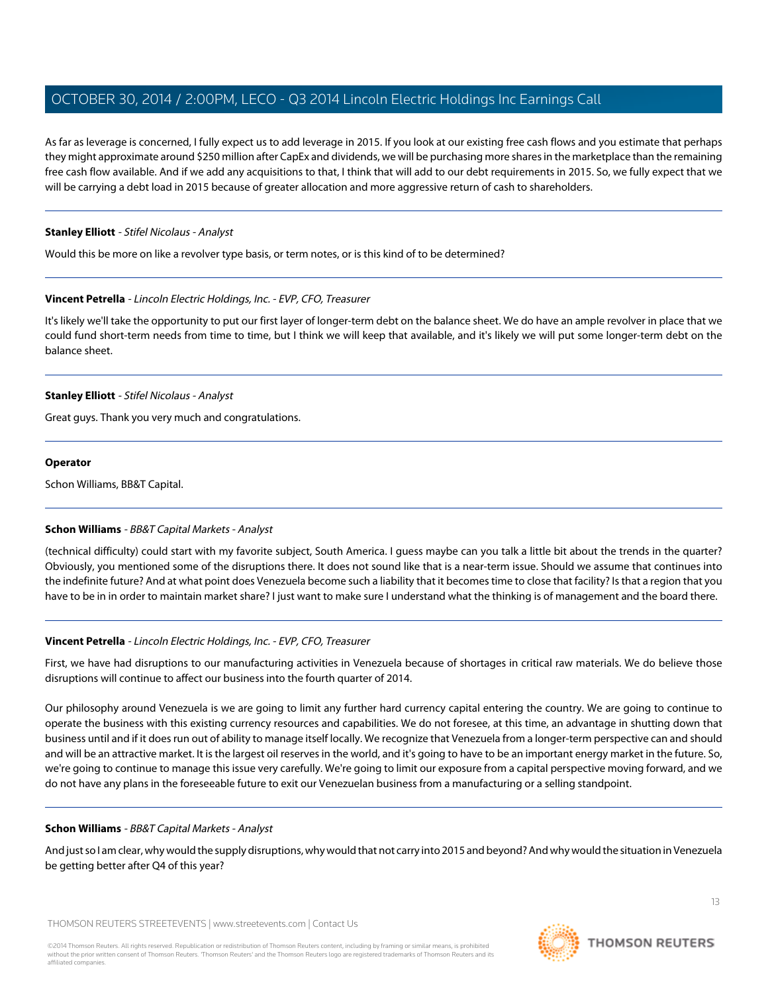As far as leverage is concerned, I fully expect us to add leverage in 2015. If you look at our existing free cash flows and you estimate that perhaps they might approximate around \$250 million after CapEx and dividends, we will be purchasing more shares in the marketplace than the remaining free cash flow available. And if we add any acquisitions to that, I think that will add to our debt requirements in 2015. So, we fully expect that we will be carrying a debt load in 2015 because of greater allocation and more aggressive return of cash to shareholders.

#### **Stanley Elliott** - Stifel Nicolaus - Analyst

Would this be more on like a revolver type basis, or term notes, or is this kind of to be determined?

#### **Vincent Petrella** - Lincoln Electric Holdings, Inc. - EVP, CFO, Treasurer

It's likely we'll take the opportunity to put our first layer of longer-term debt on the balance sheet. We do have an ample revolver in place that we could fund short-term needs from time to time, but I think we will keep that available, and it's likely we will put some longer-term debt on the balance sheet.

#### **Stanley Elliott** - Stifel Nicolaus - Analyst

Great guys. Thank you very much and congratulations.

#### **Operator**

<span id="page-12-0"></span>Schon Williams, BB&T Capital.

## **Schon Williams** - BB&T Capital Markets - Analyst

(technical difficulty) could start with my favorite subject, South America. I guess maybe can you talk a little bit about the trends in the quarter? Obviously, you mentioned some of the disruptions there. It does not sound like that is a near-term issue. Should we assume that continues into the indefinite future? And at what point does Venezuela become such a liability that it becomes time to close that facility? Is that a region that you have to be in in order to maintain market share? I just want to make sure I understand what the thinking is of management and the board there.

## **Vincent Petrella** - Lincoln Electric Holdings, Inc. - EVP, CFO, Treasurer

First, we have had disruptions to our manufacturing activities in Venezuela because of shortages in critical raw materials. We do believe those disruptions will continue to affect our business into the fourth quarter of 2014.

Our philosophy around Venezuela is we are going to limit any further hard currency capital entering the country. We are going to continue to operate the business with this existing currency resources and capabilities. We do not foresee, at this time, an advantage in shutting down that business until and if it does run out of ability to manage itself locally. We recognize that Venezuela from a longer-term perspective can and should and will be an attractive market. It is the largest oil reserves in the world, and it's going to have to be an important energy market in the future. So, we're going to continue to manage this issue very carefully. We're going to limit our exposure from a capital perspective moving forward, and we do not have any plans in the foreseeable future to exit our Venezuelan business from a manufacturing or a selling standpoint.

## **Schon Williams** - BB&T Capital Markets - Analyst

And just so I am clear, why would the supply disruptions, why would that not carry into 2015 and beyond? And why would the situation in Venezuela be getting better after Q4 of this year?

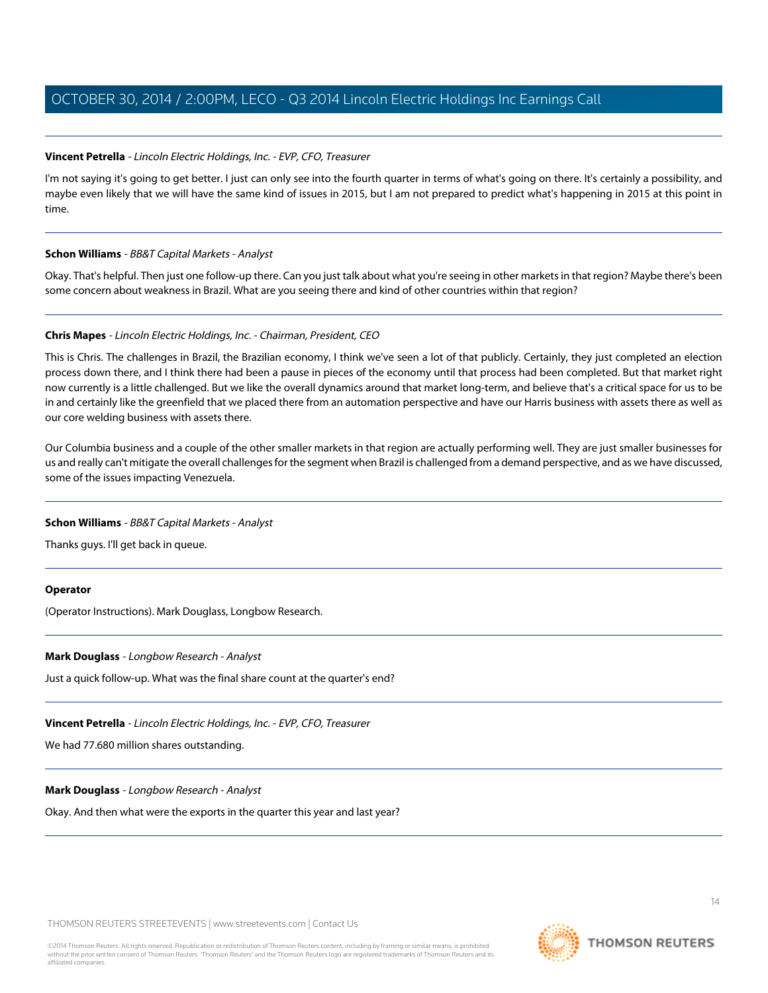#### **Vincent Petrella** - Lincoln Electric Holdings, Inc. - EVP, CFO, Treasurer

I'm not saying it's going to get better. I just can only see into the fourth quarter in terms of what's going on there. It's certainly a possibility, and maybe even likely that we will have the same kind of issues in 2015, but I am not prepared to predict what's happening in 2015 at this point in time.

#### **Schon Williams** - BB&T Capital Markets - Analyst

Okay. That's helpful. Then just one follow-up there. Can you just talk about what you're seeing in other markets in that region? Maybe there's been some concern about weakness in Brazil. What are you seeing there and kind of other countries within that region?

#### **Chris Mapes** - Lincoln Electric Holdings, Inc. - Chairman, President, CEO

This is Chris. The challenges in Brazil, the Brazilian economy, I think we've seen a lot of that publicly. Certainly, they just completed an election process down there, and I think there had been a pause in pieces of the economy until that process had been completed. But that market right now currently is a little challenged. But we like the overall dynamics around that market long-term, and believe that's a critical space for us to be in and certainly like the greenfield that we placed there from an automation perspective and have our Harris business with assets there as well as our core welding business with assets there.

Our Columbia business and a couple of the other smaller markets in that region are actually performing well. They are just smaller businesses for us and really can't mitigate the overall challenges for the segment when Brazil is challenged from a demand perspective, and as we have discussed, some of the issues impacting Venezuela.

#### **Schon Williams** - BB&T Capital Markets - Analyst

Thanks guys. I'll get back in queue.

#### **Operator**

(Operator Instructions). Mark Douglass, Longbow Research.

#### **Mark Douglass** - Longbow Research - Analyst

Just a quick follow-up. What was the final share count at the quarter's end?

**Vincent Petrella** - Lincoln Electric Holdings, Inc. - EVP, CFO, Treasurer

We had 77.680 million shares outstanding.

#### **Mark Douglass** - Longbow Research - Analyst

Okay. And then what were the exports in the quarter this year and last year?

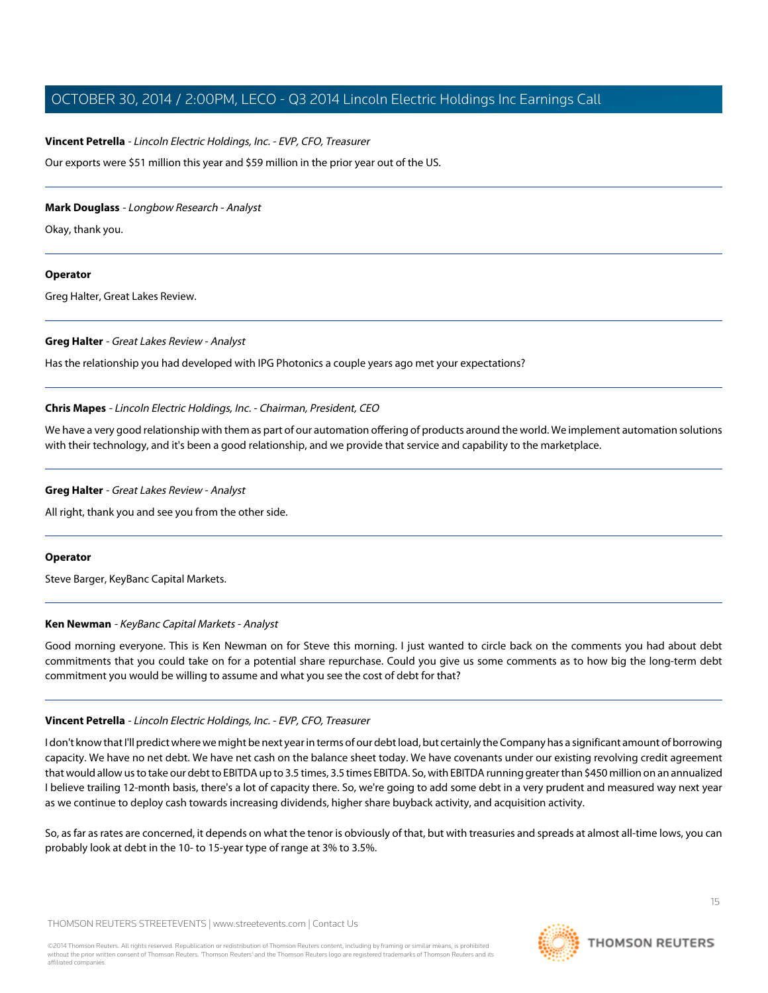#### **Vincent Petrella** - Lincoln Electric Holdings, Inc. - EVP, CFO, Treasurer

Our exports were \$51 million this year and \$59 million in the prior year out of the US.

#### **Mark Douglass** - Longbow Research - Analyst

Okay, thank you.

#### **Operator**

Greg Halter, Great Lakes Review.

#### **Greg Halter** - Great Lakes Review - Analyst

Has the relationship you had developed with IPG Photonics a couple years ago met your expectations?

#### **Chris Mapes** - Lincoln Electric Holdings, Inc. - Chairman, President, CEO

We have a very good relationship with them as part of our automation offering of products around the world. We implement automation solutions with their technology, and it's been a good relationship, and we provide that service and capability to the marketplace.

#### **Greg Halter** - Great Lakes Review - Analyst

All right, thank you and see you from the other side.

#### <span id="page-14-0"></span>**Operator**

Steve Barger, KeyBanc Capital Markets.

#### **Ken Newman** - KeyBanc Capital Markets - Analyst

Good morning everyone. This is Ken Newman on for Steve this morning. I just wanted to circle back on the comments you had about debt commitments that you could take on for a potential share repurchase. Could you give us some comments as to how big the long-term debt commitment you would be willing to assume and what you see the cost of debt for that?

## **Vincent Petrella** - Lincoln Electric Holdings, Inc. - EVP, CFO, Treasurer

I don't know that I'll predict where we might be next year in terms of our debt load, but certainly the Company has a significant amount of borrowing capacity. We have no net debt. We have net cash on the balance sheet today. We have covenants under our existing revolving credit agreement that would allow us to take our debt to EBITDA up to 3.5 times, 3.5 times EBITDA. So, with EBITDA running greater than \$450 million on an annualized I believe trailing 12-month basis, there's a lot of capacity there. So, we're going to add some debt in a very prudent and measured way next year as we continue to deploy cash towards increasing dividends, higher share buyback activity, and acquisition activity.

So, as far as rates are concerned, it depends on what the tenor is obviously of that, but with treasuries and spreads at almost all-time lows, you can probably look at debt in the 10- to 15-year type of range at 3% to 3.5%.